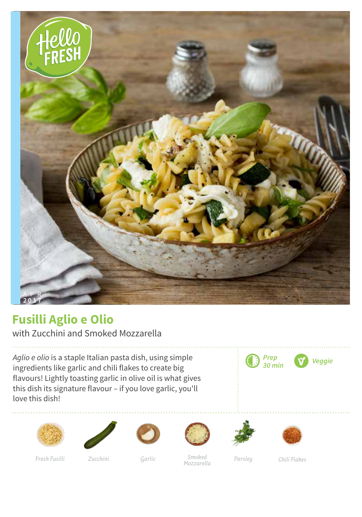

## **Fusilli Aglio e Olio**

with Zucchini and Smoked Mozzarella

*Aglio e olio* is a staple Italian pasta dish, using simple ingredients like garlic and chili flakes to create big flavours! Lightly toasting garlic in olive oil is what gives this dish its signature flavour – if you love garlic, you'll love this dish!















*Fresh Fusilli Zucchini Garlic Parsley Smoked Mozzarella*

*Chili Flakes*